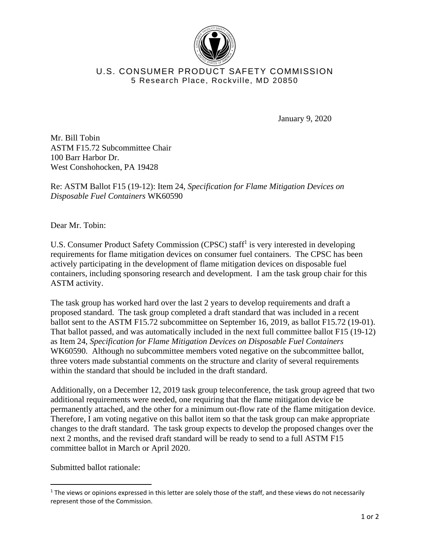

## U.S. CONSUMER PRODUCT SAFETY COMMISSION 5 Research Place, Rockville, MD 20850

January 9, 2020

Mr. Bill Tobin ASTM F15.72 Subcommittee Chair 100 Barr Harbor Dr. West Conshohocken, PA 19428

Re: ASTM Ballot F15 (19-12): Item 24, *Specification for Flame Mitigation Devices on Disposable Fuel Containers* WK60590

Dear Mr. Tobin:

U.S. Consumer Product Safety Commission (CPSC) staff<sup>1</sup> is very interested in developing requirements for flame mitigation devices on consumer fuel containers. The CPSC has been actively participating in the development of flame mitigation devices on disposable fuel containers, including sponsoring research and development. I am the task group chair for this ASTM activity.

The task group has worked hard over the last 2 years to develop requirements and draft a proposed standard. The task group completed a draft standard that was included in a recent ballot sent to the ASTM F15.72 subcommittee on September 16, 2019, as ballot F15.72 (19-01). That ballot passed, and was automatically included in the next full committee ballot F15 (19-12) as Item 24, *Specification for Flame Mitigation Devices on Disposable Fuel Containers* WK60590. Although no subcommittee members voted negative on the subcommittee ballot, three voters made substantial comments on the structure and clarity of several requirements within the standard that should be included in the draft standard.

Additionally, on a December 12, 2019 task group teleconference, the task group agreed that two additional requirements were needed, one requiring that the flame mitigation device be permanently attached, and the other for a minimum out-flow rate of the flame mitigation device. Therefore, I am voting negative on this ballot item so that the task group can make appropriate changes to the draft standard. The task group expects to develop the proposed changes over the next 2 months, and the revised draft standard will be ready to send to a full ASTM F15 committee ballot in March or April 2020.

Submitted ballot rationale:

 $1$  The views or opinions expressed in this letter are solely those of the staff, and these views do not necessarily represent those of the Commission.